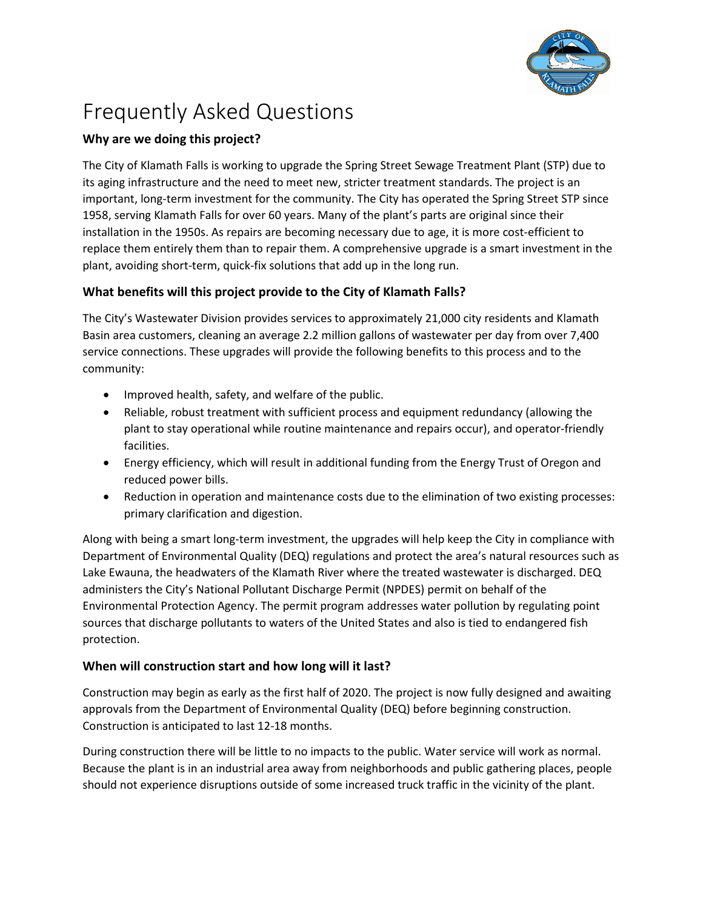

# Frequently Asked Questions

# **Why are we doing this project?**

The City of Klamath Falls is working to upgrade the Spring Street Sewage Treatment Plant (STP) due to its aging infrastructure and the need to meet new, stricter treatment standards. The project is an important, long-term investment for the community. The City has operated the Spring Street STP since 1958, serving Klamath Falls for over 60 years. Many of the plant's parts are original since their installation in the 1950s. As repairs are becoming necessary due to age, it is more cost-efficient to replace them entirely them than to repair them. A comprehensive upgrade is a smart investment in the plant, avoiding short-term, quick-fix solutions that add up in the long run.

# **What benefits will this project provide to the City of Klamath Falls?**

The City's Wastewater Division provides services to approximately 21,000 city residents and Klamath Basin area customers, cleaning an average 2.2 million gallons of wastewater per day from over 7,400 service connections. These upgrades will provide the following benefits to this process and to the community:

- Improved health, safety, and welfare of the public.
- Reliable, robust treatment with sufficient process and equipment redundancy (allowing the plant to stay operational while routine maintenance and repairs occur), and operator-friendly facilities.
- Energy efficiency, which will result in additional funding from the Energy Trust of Oregon and reduced power bills.
- Reduction in operation and maintenance costs due to the elimination of two existing processes: primary clarification and digestion.

Along with being a smart long-term investment, the upgrades will help keep the City in compliance with Department of Environmental Quality (DEQ) regulations and protect the area's natural resources such as Lake Ewauna, the headwaters of the Klamath River where the treated wastewater is discharged. DEQ administers the City's National Pollutant Discharge Permit (NPDES) permit on behalf of the Environmental Protection Agency. The permit program addresses water pollution by regulating point sources that discharge pollutants to waters of the United States and also is tied to endangered fish protection.

# **When will construction start and how long will it last?**

Construction may begin as early as the first half of 2020. The project is now fully designed and awaiting approvals from the Department of Environmental Quality (DEQ) before beginning construction. Construction is anticipated to last 12-18 months.

During construction there will be little to no impacts to the public. Water service will work as normal. Because the plant is in an industrial area away from neighborhoods and public gathering places, people should not experience disruptions outside of some increased truck traffic in the vicinity of the plant.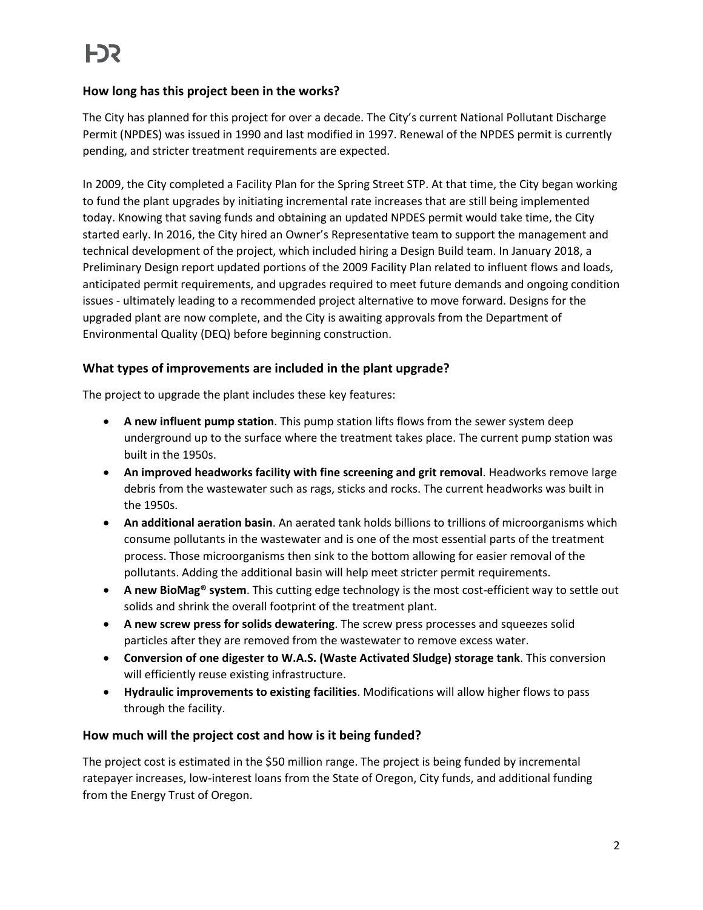## **How long has this project been in the works?**

The City has planned for this project for over a decade. The City's current National Pollutant Discharge Permit (NPDES) was issued in 1990 and last modified in 1997. Renewal of the NPDES permit is currently pending, and stricter treatment requirements are expected.

In 2009, the City completed a Facility Plan for the Spring Street STP. At that time, the City began working to fund the plant upgrades by initiating incremental rate increases that are still being implemented today. Knowing that saving funds and obtaining an updated NPDES permit would take time, the City started early. In 2016, the City hired an Owner's Representative team to support the management and technical development of the project, which included hiring a Design Build team. In January 2018, a Preliminary Design report updated portions of the 2009 Facility Plan related to influent flows and loads, anticipated permit requirements, and upgrades required to meet future demands and ongoing condition issues - ultimately leading to a recommended project alternative to move forward. Designs for the upgraded plant are now complete, and the City is awaiting approvals from the Department of Environmental Quality (DEQ) before beginning construction.

#### **What types of improvements are included in the plant upgrade?**

The project to upgrade the plant includes these key features:

- **A new influent pump station**. This pump station lifts flows from the sewer system deep underground up to the surface where the treatment takes place. The current pump station was built in the 1950s.
- **An improved headworks facility with fine screening and grit removal**. Headworks remove large debris from the wastewater such as rags, sticks and rocks. The current headworks was built in the 1950s.
- **An additional aeration basin**. An aerated tank holds billions to trillions of microorganisms which consume pollutants in the wastewater and is one of the most essential parts of the treatment process. Those microorganisms then sink to the bottom allowing for easier removal of the pollutants. Adding the additional basin will help meet stricter permit requirements.
- **A new BioMag® system**. This cutting edge technology is the most cost-efficient way to settle out solids and shrink the overall footprint of the treatment plant.
- **A new screw press for solids dewatering**. The screw press processes and squeezes solid particles after they are removed from the wastewater to remove excess water.
- **Conversion of one digester to W.A.S. (Waste Activated Sludge) storage tank**. This conversion will efficiently reuse existing infrastructure.
- **Hydraulic improvements to existing facilities**. Modifications will allow higher flows to pass through the facility.

#### **How much will the project cost and how is it being funded?**

The project cost is estimated in the \$50 million range. The project is being funded by incremental ratepayer increases, low-interest loans from the State of Oregon, City funds, and additional funding from the Energy Trust of Oregon.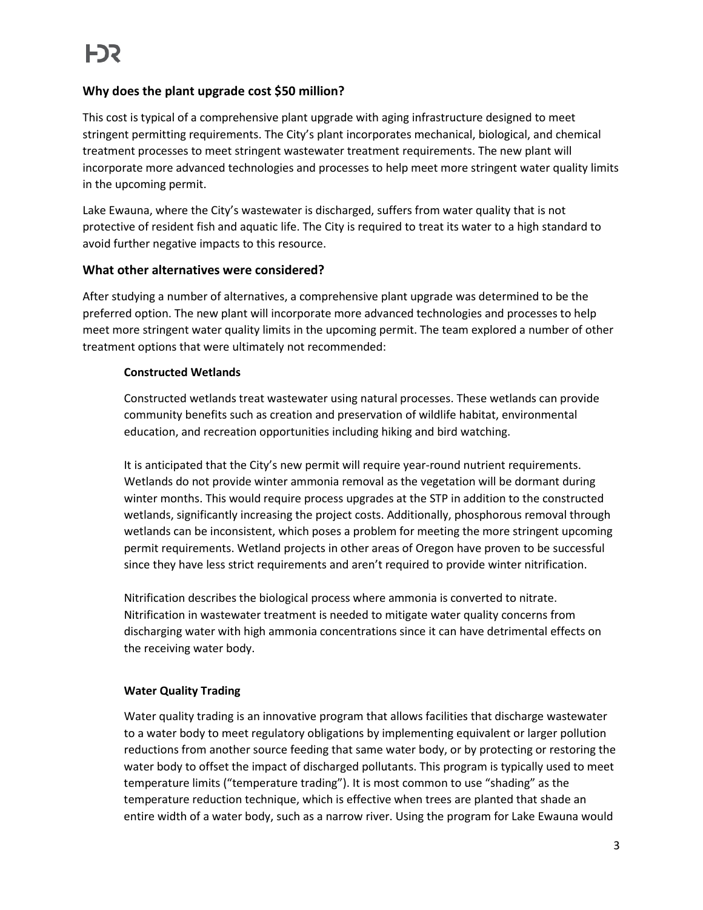# **Why does the plant upgrade cost \$50 million?**

This cost is typical of a comprehensive plant upgrade with aging infrastructure designed to meet stringent permitting requirements. The City's plant incorporates mechanical, biological, and chemical treatment processes to meet stringent wastewater treatment requirements. The new plant will incorporate more advanced technologies and processes to help meet more stringent water quality limits in the upcoming permit.

Lake Ewauna, where the City's wastewater is discharged, suffers from water quality that is not protective of resident fish and aquatic life. The City is required to treat its water to a high standard to avoid further negative impacts to this resource.

#### **What other alternatives were considered?**

After studying a number of alternatives, a comprehensive plant upgrade was determined to be the preferred option. The new plant will incorporate more advanced technologies and processes to help meet more stringent water quality limits in the upcoming permit. The team explored a number of other treatment options that were ultimately not recommended:

#### **Constructed Wetlands**

Constructed wetlands treat wastewater using natural processes. These wetlands can provide community benefits such as creation and preservation of wildlife habitat, environmental education, and recreation opportunities including hiking and bird watching.

It is anticipated that the City's new permit will require year-round nutrient requirements. Wetlands do not provide winter ammonia removal as the vegetation will be dormant during winter months. This would require process upgrades at the STP in addition to the constructed wetlands, significantly increasing the project costs. Additionally, phosphorous removal through wetlands can be inconsistent, which poses a problem for meeting the more stringent upcoming permit requirements. Wetland projects in other areas of Oregon have proven to be successful since they have less strict requirements and aren't required to provide winter nitrification.

Nitrification describes the biological process where ammonia is converted to nitrate. Nitrification in wastewater treatment is needed to mitigate water quality concerns from discharging water with high ammonia concentrations since it can have detrimental effects on the receiving water body.

# **Water Quality Trading**

Water quality trading is an innovative program that allows facilities that discharge wastewater to a water body to meet regulatory obligations by implementing equivalent or larger pollution reductions from another source feeding that same water body, or by protecting or restoring the water body to offset the impact of discharged pollutants. This program is typically used to meet temperature limits ("temperature trading"). It is most common to use "shading" as the temperature reduction technique, which is effective when trees are planted that shade an entire width of a water body, such as a narrow river. Using the program for Lake Ewauna would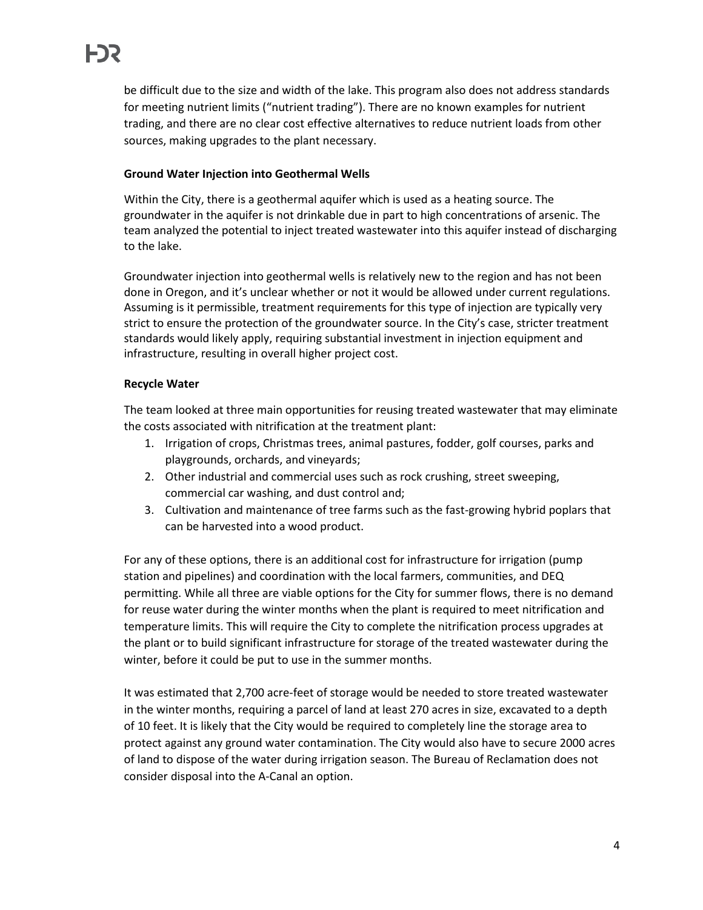be difficult due to the size and width of the lake. This program also does not address standards for meeting nutrient limits ("nutrient trading"). There are no known examples for nutrient trading, and there are no clear cost effective alternatives to reduce nutrient loads from other sources, making upgrades to the plant necessary.

#### **Ground Water Injection into Geothermal Wells**

Within the City, there is a geothermal aquifer which is used as a heating source. The groundwater in the aquifer is not drinkable due in part to high concentrations of arsenic. The team analyzed the potential to inject treated wastewater into this aquifer instead of discharging to the lake.

Groundwater injection into geothermal wells is relatively new to the region and has not been done in Oregon, and it's unclear whether or not it would be allowed under current regulations. Assuming is it permissible, treatment requirements for this type of injection are typically very strict to ensure the protection of the groundwater source. In the City's case, stricter treatment standards would likely apply, requiring substantial investment in injection equipment and infrastructure, resulting in overall higher project cost.

#### **Recycle Water**

The team looked at three main opportunities for reusing treated wastewater that may eliminate the costs associated with nitrification at the treatment plant:

- 1. Irrigation of crops, Christmas trees, animal pastures, fodder, golf courses, parks and playgrounds, orchards, and vineyards;
- 2. Other industrial and commercial uses such as rock crushing, street sweeping, commercial car washing, and dust control and;
- 3. Cultivation and maintenance of tree farms such as the fast-growing hybrid poplars that can be harvested into a wood product.

For any of these options, there is an additional cost for infrastructure for irrigation (pump station and pipelines) and coordination with the local farmers, communities, and DEQ permitting. While all three are viable options for the City for summer flows, there is no demand for reuse water during the winter months when the plant is required to meet nitrification and temperature limits. This will require the City to complete the nitrification process upgrades at the plant or to build significant infrastructure for storage of the treated wastewater during the winter, before it could be put to use in the summer months.

It was estimated that 2,700 acre-feet of storage would be needed to store treated wastewater in the winter months, requiring a parcel of land at least 270 acres in size, excavated to a depth of 10 feet. It is likely that the City would be required to completely line the storage area to protect against any ground water contamination. The City would also have to secure 2000 acres of land to dispose of the water during irrigation season. The Bureau of Reclamation does not consider disposal into the A-Canal an option.